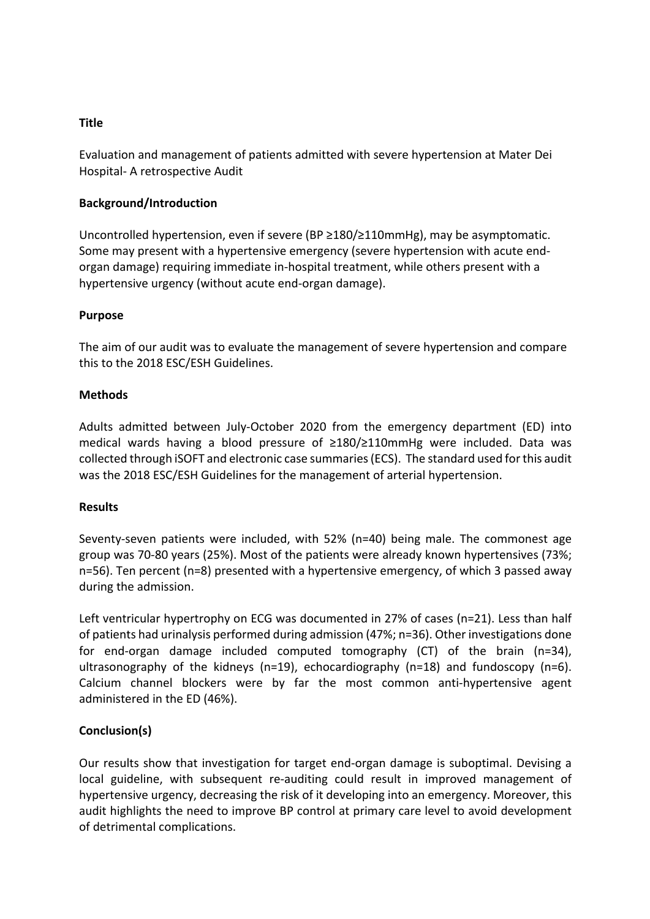## **Title**

Evaluation and management of patients admitted with severe hypertension at Mater Dei Hospital- A retrospective Audit

## **Background/Introduction**

Uncontrolled hypertension, even if severe (BP ≥180/≥110mmHg), may be asymptomatic. Some may present with a hypertensive emergency (severe hypertension with acute endorgan damage) requiring immediate in-hospital treatment, while others present with a hypertensive urgency (without acute end-organ damage).

## **Purpose**

The aim of our audit was to evaluate the management of severe hypertension and compare this to the 2018 ESC/ESH Guidelines.

#### **Methods**

Adults admitted between July-October 2020 from the emergency department (ED) into medical wards having a blood pressure of ≥180/≥110mmHg were included. Data was collected through iSOFT and electronic case summaries(ECS). The standard used for this audit was the 2018 ESC/ESH Guidelines for the management of arterial hypertension.

#### **Results**

Seventy-seven patients were included, with 52% (n=40) being male. The commonest age group was 70-80 years (25%). Most of the patients were already known hypertensives (73%; n=56). Ten percent (n=8) presented with a hypertensive emergency, of which 3 passed away during the admission.

Left ventricular hypertrophy on ECG was documented in 27% of cases (n=21). Less than half of patients had urinalysis performed during admission (47%; n=36). Other investigations done for end-organ damage included computed tomography (CT) of the brain (n=34), ultrasonography of the kidneys ( $n=19$ ), echocardiography ( $n=18$ ) and fundoscopy ( $n=6$ ). Calcium channel blockers were by far the most common anti-hypertensive agent administered in the ED (46%).

# **Conclusion(s)**

Our results show that investigation for target end-organ damage is suboptimal. Devising a local guideline, with subsequent re-auditing could result in improved management of hypertensive urgency, decreasing the risk of it developing into an emergency. Moreover, this audit highlights the need to improve BP control at primary care level to avoid development of detrimental complications.